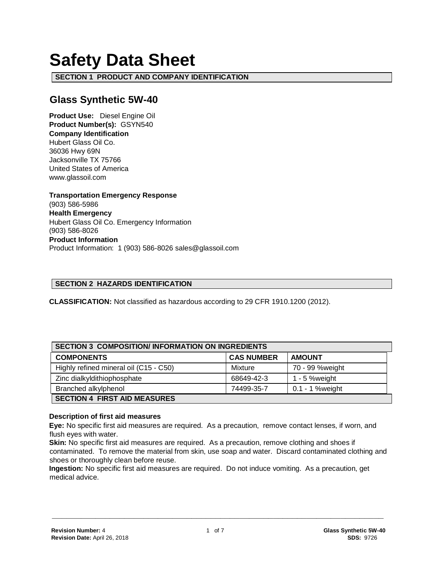# **Safety Data Sheet**

**SECTION 1 PRODUCT AND COMPANY IDENTIFICATION**

# **Glass Synthetic 5W-40**

**Product Use:** Diesel Engine Oil **Product Number(s):** GSYN540 **Company Identification** Hubert Glass Oil Co. 36036 Hwy 69N Jacksonville TX 75766 United States of America www.glassoil.com

**Transportation Emergency Response** (903) 586-5986 **Health Emergency** Hubert Glass Oil Co. Emergency Information (903) 586-8026 **Product Information**  Product Information: 1 (903) 586-8026 sales@glassoil.com

## **SECTION 2 HAZARDS IDENTIFICATION**

**CLASSIFICATION:** Not classified as hazardous according to 29 CFR 1910.1200 (2012).

| <b>SECTION 3 COMPOSITION/INFORMATION ON INGREDIENTS</b> |                   |                 |  |
|---------------------------------------------------------|-------------------|-----------------|--|
| <b>COMPONENTS</b>                                       | <b>CAS NUMBER</b> | <b>AMOUNT</b>   |  |
| Highly refined mineral oil (C15 - C50)                  | Mixture           | 70 - 99 %weight |  |
| Zinc dialkyldithiophosphate                             | 68649-42-3        | 1 - 5 % weight  |  |
| Branched alkylphenol                                    | 74499-35-7        | 0.1 - 1 %weight |  |
| <b>SECTION 4 FIRST AID MEASURES</b>                     |                   |                 |  |

#### **Description of first aid measures**

**Eye:** No specific first aid measures are required. As a precaution, remove contact lenses, if worn, and flush eyes with water.

**Skin:** No specific first aid measures are required. As a precaution, remove clothing and shoes if contaminated. To remove the material from skin, use soap and water. Discard contaminated clothing and shoes or thoroughly clean before reuse.

**Ingestion:** No specific first aid measures are required. Do not induce vomiting. As a precaution, get medical advice.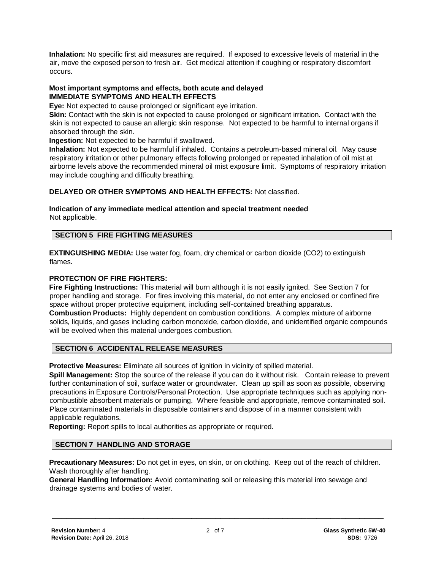**Inhalation:** No specific first aid measures are required. If exposed to excessive levels of material in the air, move the exposed person to fresh air. Get medical attention if coughing or respiratory discomfort occurs.

#### **Most important symptoms and effects, both acute and delayed IMMEDIATE SYMPTOMS AND HEALTH EFFECTS**

**Eye:** Not expected to cause prolonged or significant eye irritation.

**Skin:** Contact with the skin is not expected to cause prolonged or significant irritation. Contact with the skin is not expected to cause an allergic skin response. Not expected to be harmful to internal organs if absorbed through the skin.

**Ingestion:** Not expected to be harmful if swallowed.

**Inhalation:** Not expected to be harmful if inhaled. Contains a petroleum-based mineral oil. May cause respiratory irritation or other pulmonary effects following prolonged or repeated inhalation of oil mist at airborne levels above the recommended mineral oil mist exposure limit. Symptoms of respiratory irritation may include coughing and difficulty breathing.

# **DELAYED OR OTHER SYMPTOMS AND HEALTH EFFECTS:** Not classified.

#### **Indication of any immediate medical attention and special treatment needed**  Not applicable.

# **SECTION 5 FIRE FIGHTING MEASURES**

**EXTINGUISHING MEDIA:** Use water fog, foam, dry chemical or carbon dioxide (CO2) to extinguish flames.

#### **PROTECTION OF FIRE FIGHTERS:**

**Fire Fighting Instructions:** This material will burn although it is not easily ignited. See Section 7 for proper handling and storage. For fires involving this material, do not enter any enclosed or confined fire space without proper protective equipment, including self-contained breathing apparatus. **Combustion Products:** Highly dependent on combustion conditions. A complex mixture of airborne solids, liquids, and gases including carbon monoxide, carbon dioxide, and unidentified organic compounds will be evolved when this material undergoes combustion.

# **SECTION 6 ACCIDENTAL RELEASE MEASURES**

**Protective Measures:** Eliminate all sources of ignition in vicinity of spilled material.

**Spill Management:** Stop the source of the release if you can do it without risk. Contain release to prevent further contamination of soil, surface water or groundwater. Clean up spill as soon as possible, observing precautions in Exposure Controls/Personal Protection. Use appropriate techniques such as applying noncombustible absorbent materials or pumping. Where feasible and appropriate, remove contaminated soil. Place contaminated materials in disposable containers and dispose of in a manner consistent with applicable regulations.

**Reporting:** Report spills to local authorities as appropriate or required.

## **SECTION 7 HANDLING AND STORAGE**

**Precautionary Measures:** Do not get in eyes, on skin, or on clothing. Keep out of the reach of children. Wash thoroughly after handling.

**General Handling Information:** Avoid contaminating soil or releasing this material into sewage and drainage systems and bodies of water.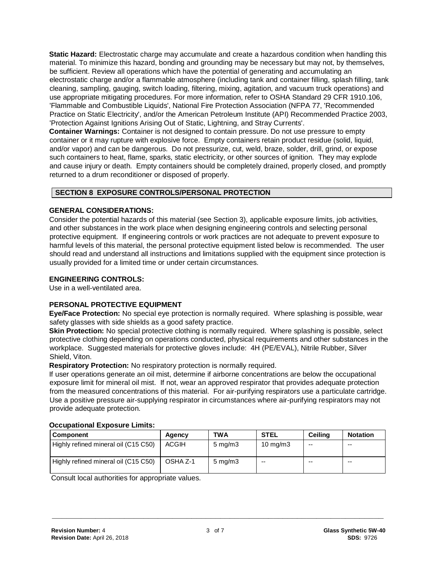**Static Hazard:** Electrostatic charge may accumulate and create a hazardous condition when handling this material. To minimize this hazard, bonding and grounding may be necessary but may not, by themselves, be sufficient. Review all operations which have the potential of generating and accumulating an electrostatic charge and/or a flammable atmosphere (including tank and container filling, splash filling, tank cleaning, sampling, gauging, switch loading, filtering, mixing, agitation, and vacuum truck operations) and use appropriate mitigating procedures. For more information, refer to OSHA Standard 29 CFR 1910.106, 'Flammable and Combustible Liquids', National Fire Protection Association (NFPA 77, 'Recommended Practice on Static Electricity', and/or the American Petroleum Institute (API) Recommended Practice 2003, 'Protection Against Ignitions Arising Out of Static, Lightning, and Stray Currents'.

**Container Warnings:** Container is not designed to contain pressure. Do not use pressure to empty container or it may rupture with explosive force. Empty containers retain product residue (solid, liquid, and/or vapor) and can be dangerous. Do not pressurize, cut, weld, braze, solder, drill, grind, or expose such containers to heat, flame, sparks, static electricity, or other sources of ignition. They may explode and cause injury or death. Empty containers should be completely drained, properly closed, and promptly returned to a drum reconditioner or disposed of properly.

# **SECTION 8 EXPOSURE CONTROLS/PERSONAL PROTECTION**

# **GENERAL CONSIDERATIONS:**

Consider the potential hazards of this material (see Section 3), applicable exposure limits, job activities, and other substances in the work place when designing engineering controls and selecting personal protective equipment. If engineering controls or work practices are not adequate to prevent exposure to harmful levels of this material, the personal protective equipment listed below is recommended. The user should read and understand all instructions and limitations supplied with the equipment since protection is usually provided for a limited time or under certain circumstances.

# **ENGINEERING CONTROLS:**

Use in a well-ventilated area.

# **PERSONAL PROTECTIVE EQUIPMENT**

**Eye/Face Protection:** No special eye protection is normally required. Where splashing is possible, wear safety glasses with side shields as a good safety practice.

**Skin Protection:** No special protective clothing is normally required. Where splashing is possible, select protective clothing depending on operations conducted, physical requirements and other substances in the workplace. Suggested materials for protective gloves include: 4H (PE/EVAL), Nitrile Rubber, Silver Shield, Viton.

**Respiratory Protection:** No respiratory protection is normally required.

If user operations generate an oil mist, determine if airborne concentrations are below the occupational exposure limit for mineral oil mist. If not, wear an approved respirator that provides adequate protection from the measured concentrations of this material. For air-purifying respirators use a particulate cartridge. Use a positive pressure air-supplying respirator in circumstances where air-purifying respirators may not provide adequate protection.

| OUUWWW.IVIIWI EADUUWI V EIIIIIWI     |          |                    |                   |         |                 |
|--------------------------------------|----------|--------------------|-------------------|---------|-----------------|
| <b>Component</b>                     | Agency   | TWA                | <b>STEL</b>       | Ceilina | <b>Notation</b> |
| Highly refined mineral oil (C15 C50) | ACGIH    | $5 \text{ mg/m}$ 3 | $10 \text{ mg/m}$ | $- -$   | --              |
| Highly refined mineral oil (C15 C50) | OSHA Z-1 | $5 \text{ mg/m}$ 3 | $- -$             | --      | $- -$           |

#### **Occupational Exposure Limits:**

Consult local authorities for appropriate values.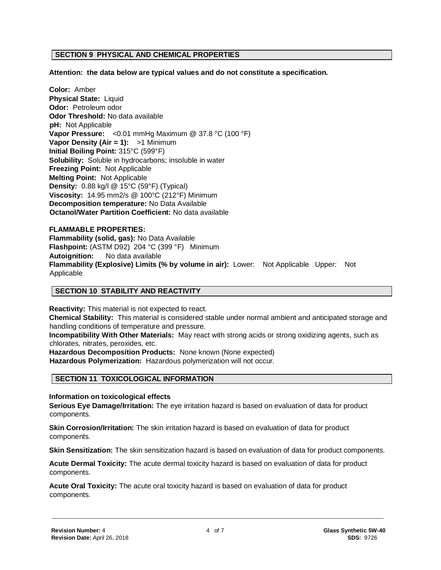#### **SECTION 9 PHYSICAL AND CHEMICAL PROPERTIES**

**Attention: the data below are typical values and do not constitute a specification.**

**Color:** Amber **Physical State:** Liquid **Odor:** Petroleum odor **Odor Threshold:** No data available **pH:** Not Applicable **Vapor Pressure:** <0.01 mmHg Maximum @ 37.8 °C (100 °F) **Vapor Density (Air = 1):** >1 Minimum **Initial Boiling Point:** 315°C (599°F) **Solubility:** Soluble in hydrocarbons; insoluble in water **Freezing Point:** Not Applicable **Melting Point:** Not Applicable **Density:** 0.88 kg/l @ 15°C (59°F) (Typical) **Viscosity:** 14.95 mm2/s @ 100°C (212°F) Minimum **Decomposition temperature:** No Data Available **Octanol/Water Partition Coefficient:** No data available

# **FLAMMABLE PROPERTIES: Flammability (solid, gas):** No Data Available **Flashpoint:** (ASTM D92) 204 °C (399 °F) Minimum **Autoignition:** No data available **Flammability (Explosive) Limits (% by volume in air):** Lower: Not Applicable Upper: Not Applicable

#### **SECTION 10 STABILITY AND REACTIVITY**

**Reactivity:** This material is not expected to react. **Chemical Stability:** This material is considered stable under normal ambient and anticipated storage and handling conditions of temperature and pressure.

**Incompatibility With Other Materials:** May react with strong acids or strong oxidizing agents, such as chlorates, nitrates, peroxides, etc.

**Hazardous Decomposition Products:** None known (None expected)

**Hazardous Polymerization:** Hazardous polymerization will not occur.

#### **SECTION 11 TOXICOLOGICAL INFORMATION**

**Information on toxicological effects**

**Serious Eye Damage/Irritation:** The eye irritation hazard is based on evaluation of data for product components.

**Skin Corrosion/Irritation:** The skin irritation hazard is based on evaluation of data for product components.

**Skin Sensitization:** The skin sensitization hazard is based on evaluation of data for product components.

**Acute Dermal Toxicity:** The acute dermal toxicity hazard is based on evaluation of data for product components.

**Acute Oral Toxicity:** The acute oral toxicity hazard is based on evaluation of data for product components.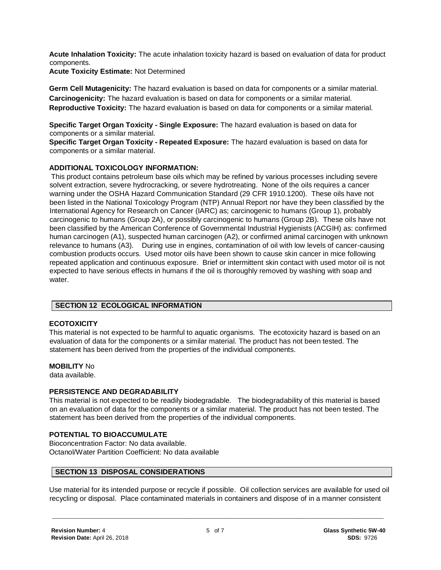**Acute Inhalation Toxicity:** The acute inhalation toxicity hazard is based on evaluation of data for product components.

**Acute Toxicity Estimate:** Not Determined

**Germ Cell Mutagenicity:** The hazard evaluation is based on data for components or a similar material. **Carcinogenicity:** The hazard evaluation is based on data for components or a similar material. **Reproductive Toxicity:** The hazard evaluation is based on data for components or a similar material.

**Specific Target Organ Toxicity - Single Exposure:** The hazard evaluation is based on data for components or a similar material.

**Specific Target Organ Toxicity - Repeated Exposure:** The hazard evaluation is based on data for components or a similar material.

# **ADDITIONAL TOXICOLOGY INFORMATION:**

This product contains petroleum base oils which may be refined by various processes including severe solvent extraction, severe hydrocracking, or severe hydrotreating. None of the oils requires a cancer warning under the OSHA Hazard Communication Standard (29 CFR 1910.1200). These oils have not been listed in the National Toxicology Program (NTP) Annual Report nor have they been classified by the International Agency for Research on Cancer (IARC) as; carcinogenic to humans (Group 1), probably carcinogenic to humans (Group 2A), or possibly carcinogenic to humans (Group 2B). These oils have not been classified by the American Conference of Governmental Industrial Hygienists (ACGIH) as: confirmed human carcinogen (A1), suspected human carcinogen (A2), or confirmed animal carcinogen with unknown relevance to humans (A3). During use in engines, contamination of oil with low levels of cancer-causing combustion products occurs. Used motor oils have been shown to cause skin cancer in mice following repeated application and continuous exposure. Brief or intermittent skin contact with used motor oil is not expected to have serious effects in humans if the oil is thoroughly removed by washing with soap and water.

# **SECTION 12 ECOLOGICAL INFORMATION**

# **ECOTOXICITY**

This material is not expected to be harmful to aquatic organisms. The ecotoxicity hazard is based on an evaluation of data for the components or a similar material. The product has not been tested. The statement has been derived from the properties of the individual components.

# **MOBILITY** No

data available.

# **PERSISTENCE AND DEGRADABILITY**

This material is not expected to be readily biodegradable. The biodegradability of this material is based on an evaluation of data for the components or a similar material. The product has not been tested. The statement has been derived from the properties of the individual components.

# **POTENTIAL TO BIOACCUMULATE**

Bioconcentration Factor: No data available. Octanol/Water Partition Coefficient: No data available

# **SECTION 13 DISPOSAL CONSIDERATIONS**

Use material for its intended purpose or recycle if possible. Oil collection services are available for used oil recycling or disposal. Place contaminated materials in containers and dispose of in a manner consistent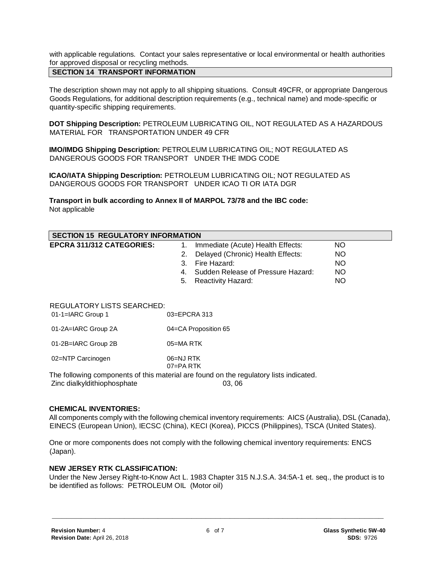with applicable regulations. Contact your sales representative or local environmental or health authorities for approved disposal or recycling methods.

# **SECTION 14 TRANSPORT INFORMATION**

The description shown may not apply to all shipping situations. Consult 49CFR, or appropriate Dangerous Goods Regulations, for additional description requirements (e.g., technical name) and mode-specific or quantity-specific shipping requirements.

**DOT Shipping Description:** PETROLEUM LUBRICATING OIL, NOT REGULATED AS A HAZARDOUS MATERIAL FOR TRANSPORTATION UNDER 49 CFR

**IMO/IMDG Shipping Description:** PETROLEUM LUBRICATING OIL; NOT REGULATED AS DANGEROUS GOODS FOR TRANSPORT UNDER THE IMDG CODE

**ICAO/IATA Shipping Description:** PETROLEUM LUBRICATING OIL; NOT REGULATED AS DANGEROUS GOODS FOR TRANSPORT UNDER ICAO TI OR IATA DGR

**Transport in bulk according to Annex II of MARPOL 73/78 and the IBC code:** Not applicable

| <b>SECTION 15 REGULATORY INFORMATION</b>          |                  |                                       |           |  |
|---------------------------------------------------|------------------|---------------------------------------|-----------|--|
| <b>EPCRA 311/312 CATEGORIES:</b>                  | 1.               | Immediate (Acute) Health Effects:     | <b>NO</b> |  |
|                                                   | 2.               | Delayed (Chronic) Health Effects:     | NO.       |  |
|                                                   | 3.               | Fire Hazard:                          | <b>NO</b> |  |
|                                                   |                  | 4. Sudden Release of Pressure Hazard: | <b>NO</b> |  |
|                                                   | 5.               | Reactivity Hazard:                    | <b>NO</b> |  |
| REGULATORY LISTS SEARCHED:<br>$01-1=IARC$ Group 1 | $03 = EPCRA$ 313 |                                       |           |  |

| 01-2A=IARC Group 2A | 04=CA Proposition 65 |  |  |
|---------------------|----------------------|--|--|
|                     |                      |  |  |

01-2B=IARC Group 2B 05=MA RTK

02=NTP Carcinogen 06=NJ RTK

07=PA RTK

The following components of this material are found on the regulatory lists indicated.

Zinc dialkyldithiophosphate 03, 06

#### **CHEMICAL INVENTORIES:**

All components comply with the following chemical inventory requirements: AICS (Australia), DSL (Canada), EINECS (European Union), IECSC (China), KECI (Korea), PICCS (Philippines), TSCA (United States).

One or more components does not comply with the following chemical inventory requirements: ENCS (Japan).

#### **NEW JERSEY RTK CLASSIFICATION:**

Under the New Jersey Right-to-Know Act L. 1983 Chapter 315 N.J.S.A. 34:5A-1 et. seq., the product is to be identified as follows: PETROLEUM OIL (Motor oil)